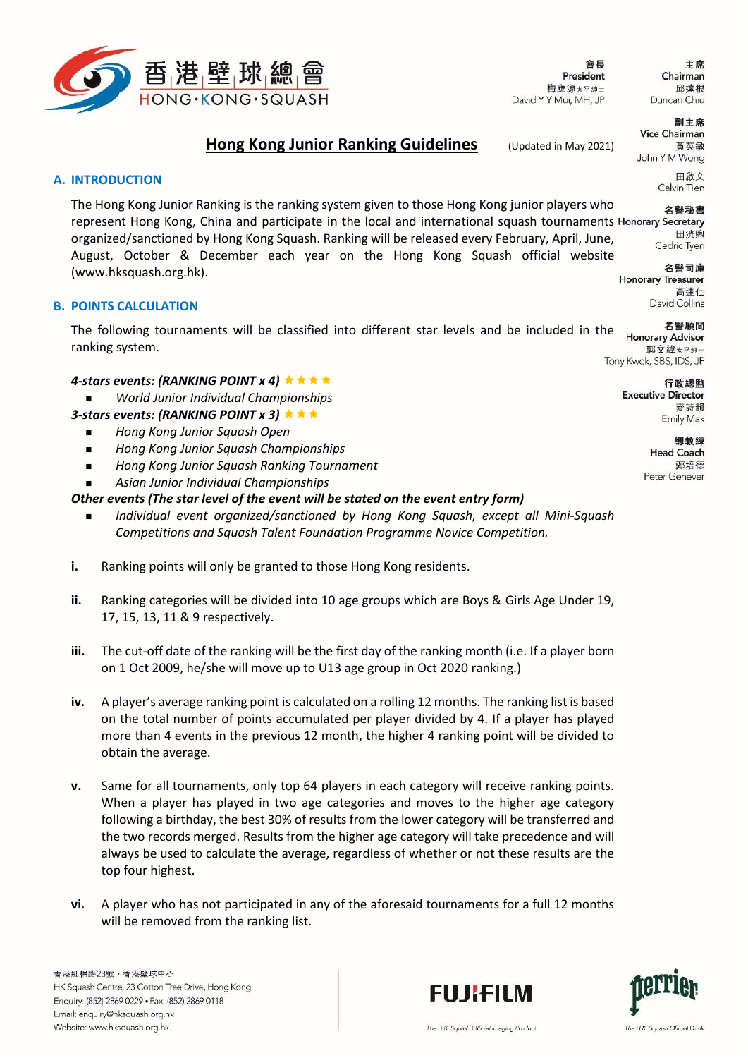

會長 President 梅應源太平紳士 David Y Y Mui, MH, JP

主席 Chairman 邱達根 Duncan Chiu

副主席

# **Hong Kong Junior Ranking Guidelines** (Updated in May 2021)

**Vice Chairman** 蓄英敏 John Y M Wong

> 田啟文 Calvin Tien

> > 田洸昫

高連仕 David Collins

# **A. INTRODUCTION**

The Hong Kong Junior Ranking is the ranking system given to those Hong Kong junior players who 名譽秘書 represent Hong Kong, China and participate in the local and international squash tournaments Honorary Secretary organized/sanctioned by Hong Kong Squash. Ranking will be released every February, April, June, Cedric Tyen August, October & December each year on the Hong Kong Squash official website 名譽司庫 [\(www.hksquash.org.hk\)](http://www.hksquash.org.hk/). **Honorary Treasurer** 

# **B. POINTS CALCULATION**

名譽顧問 The following tournaments will be classified into different star levels and be included in the Honorary Advisor ranking system. 郭文緯太平紳士

## *4-stars events: (RANKING POINT x 4)*

*World Junior Individual Championships*

# *3-stars events: (RANKING POINT x 3)*

- *Hong Kong Junior Squash Open*
- *Hong Kong Junior Squash Championships*
- *Hong Kong Junior Squash Ranking Tournament*
- *Asian Junior Individual Championships*

# *Other events (The star level of the event will be stated on the event entry form)*

- *Individual event organized/sanctioned by Hong Kong Squash, except all Mini-Squash Competitions and Squash Talent Foundation Programme Novice Competition.*
- **i.** Ranking points will only be granted to those Hong Kong residents.
- **ii.** Ranking categories will be divided into 10 age groups which are Boys & Girls Age Under 19, 17, 15, 13, 11 & 9 respectively.
- **iii.** The cut-off date of the ranking will be the first day of the ranking month (i.e. If a player born on 1 Oct 2009, he/she will move up to U13 age group in Oct 2020 ranking.)
- **iv.** A player's average ranking point is calculated on a rolling 12 months. The ranking list is based on the total number of points accumulated per player divided by 4. If a player has played more than 4 events in the previous 12 month, the higher 4 ranking point will be divided to obtain the average.
- **v.** Same for all tournaments, only top 64 players in each category will receive ranking points. When a player has played in two age categories and moves to the higher age category following a birthday, the best 30% of results from the lower category will be transferred and the two records merged. Results from the higher age category will take precedence and will always be used to calculate the average, regardless of whether or not these results are the top four highest.
- **vi.** A player who has not participated in any of the aforesaid tournaments for a full 12 months will be removed from the ranking list.

香港紅棉路23號,香港壁球中心 HK Squash Centre, 23 Cotton Tree Drive, Hong Kong Enquiry: (852) 2869 0229 · Fax: (852) 2869 0118 Email: enquiry@hksquash.org.hk Website: www.hksquash.org.hk





The H.K. Squash Official Drink

Tony Kwok, SBS, IDS, JP

行政總監 **Executive Director** 麥詩韻 Emily Mak

> 總教練 Head Coach 鄭培德 Peter Genever

The H.K. Squash Official Imaging Product